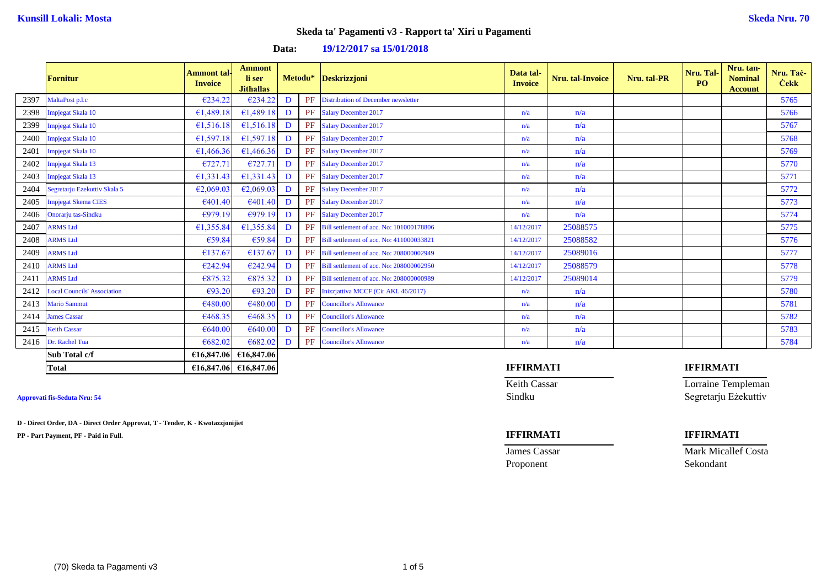| Data: |  | 19/12/2017 sa 15/01/2018 |
|-------|--|--------------------------|
|-------|--|--------------------------|

|      | <b>Fornitur</b>                    | <b>Ammont tal-</b><br><b>Invoice</b> | <b>Ammont</b><br>li ser<br><b>Jithallas</b> |   |    | Metodu* Deskrizzjoni                     | Data tal-<br><b>Invoice</b> | <b>Nru.</b> tal-Invoice | Nru. tal-PR | Nru. Tal-<br>PO <sub>1</sub> | Nru. tan-<br><b>Nominal</b><br><b>Account</b> | Nru. Taċ-<br><b>Cekk</b> |
|------|------------------------------------|--------------------------------------|---------------------------------------------|---|----|------------------------------------------|-----------------------------|-------------------------|-------------|------------------------------|-----------------------------------------------|--------------------------|
| 2397 | MaltaPost p.l.c                    | €234.22                              | €234.22                                     | D | PF | Distribution of December newsletter      |                             |                         |             |                              |                                               | 5765                     |
| 2398 | Impjegat Skala 10                  | 61,489.18                            | £1,489.18                                   | D | PF | <b>Salary December 2017</b>              | n/a                         | n/a                     |             |                              |                                               | 5766                     |
| 2399 | Impjegat Skala 10                  | 61,516.18                            | £1,516.18                                   | D | PF | <b>Salary December 2017</b>              | n/a                         | n/a                     |             |                              |                                               | 5767                     |
| 2400 | Impjegat Skala 10                  | 61,597.18                            | €1,597.18                                   | D | PF | <b>Salary December 2017</b>              | n/a                         | n/a                     |             |                              |                                               | 5768                     |
| 2401 | Impjegat Skala 10                  | 61,466.36                            | 61,466.36                                   | D | PF | <b>Salary December 2017</b>              | n/a                         | n/a                     |             |                              |                                               | 5769                     |
| 2402 | Impjegat Skala 13                  | €727.71                              | €727.71                                     | D | PF | <b>Salary December 2017</b>              | n/a                         | n/a                     |             |                              |                                               | 5770                     |
| 2403 | Impjegat Skala 13                  | 61,331.43                            | 61,331.43                                   | D | PF | <b>Salary December 2017</b>              | n/a                         | n/a                     |             |                              |                                               | 5771                     |
| 2404 | Segretarju Ezekuttiv Skala 5       | E2,069.03                            | E2,069.03                                   | D | PF | <b>Salary December 2017</b>              | n/a                         | n/a                     |             |                              |                                               | 5772                     |
| 2405 | <b>Impjegat Skema CIES</b>         | €401.40                              | €401.40                                     | D | PF | <b>Salary December 2017</b>              | n/a                         | n/a                     |             |                              |                                               | 5773                     |
| 2406 | Onorarju tas-Sindku                | €979.19                              | €979.19                                     | D | PF | <b>Salary December 2017</b>              | n/a                         | n/a                     |             |                              |                                               | 5774                     |
| 2407 | <b>ARMS Ltd</b>                    | 61,355.84                            | €1,355.84                                   | D | PF | Bill settlement of acc. No: 101000178806 | 14/12/2017                  | 25088575                |             |                              |                                               | 5775                     |
| 2408 | <b>ARMS Ltd</b>                    | €59.84                               | €59.84                                      | D | PF | Bill settlement of acc. No: 411000033821 | 14/12/2017                  | 25088582                |             |                              |                                               | 5776                     |
| 2409 | <b>ARMS Ltd</b>                    | €137.67                              | €137.67                                     | D | PF | Bill settlement of acc. No: 208000002949 | 14/12/2017                  | 25089016                |             |                              |                                               | 5777                     |
| 2410 | <b>ARMS Ltd</b>                    | €242.94                              | €242.94                                     | D | PF | Bill settlement of acc. No: 208000002950 | 14/12/2017                  | 25088579                |             |                              |                                               | 5778                     |
| 2411 | <b>ARMS Ltd</b>                    | €875.32                              | €875.32                                     | D | PF | Bill settlement of acc. No: 208000000989 | 14/12/2017                  | 25089014                |             |                              |                                               | 5779                     |
| 2412 | <b>Local Councils' Association</b> | €93.20                               | €93.20                                      | D | PF | Inizzjattiva MCCF (Cir AKL 46/2017)      | n/a                         | n/a                     |             |                              |                                               | 5780                     |
| 2413 | <b>Mario Sammut</b>                | €480.00                              | €480.00                                     | D | PF | <b>Councillor's Allowance</b>            | n/a                         | n/a                     |             |                              |                                               | 5781                     |
| 2414 | <b>James Cassar</b>                | €468.35                              | €468.35                                     | D | PF | <b>Councillor's Allowance</b>            | n/a                         | n/a                     |             |                              |                                               | 5782                     |
| 2415 | <b>Keith Cassar</b>                | €640.00                              | €640.00                                     | D | PF | <b>Councillor's Allowance</b>            | n/a                         | n/a                     |             |                              |                                               | 5783                     |
| 2416 | Dr. Rachel Tua                     | €682.02                              | €682.02                                     | D | PF | <b>Councillor's Allowance</b>            | n/a                         | n/a                     |             |                              |                                               | 5784                     |
|      | Sub Total c/f                      |                                      | €16,847.06 €16,847.06                       |   |    |                                          |                             |                         |             |                              |                                               |                          |

**D - Direct Order, DA - Direct Order Approvat, T - Tender, K - Kwotazzjonijiet**

**PP - Part Payment, PF - Paid in Full. IFFIRMATI IFFIRMATI**

### **Total €16,847.06 €16,847.06 IFFIRMATI IFFIRMATI**

Keith Cassar Lorraine Templeman Approvati fis-Seduta Nru: 54 Segretarju Eżekuttiv

**James Cassar Mark Micallef Costa** Proponent Sekondant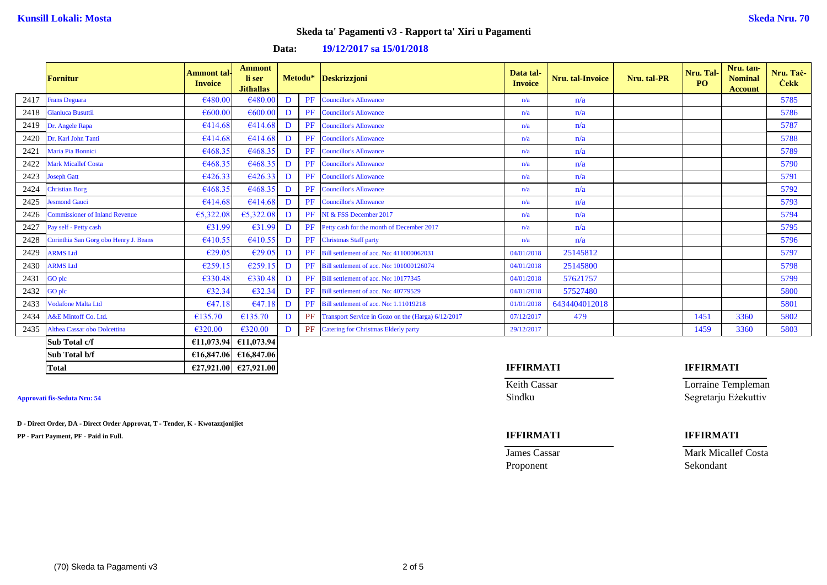### **Data: 19/12/2017 sa 15/01/2018**

|      | <b>Fornitur</b>                       | <b>Ammont tal-</b><br><b>Invoice</b> | <b>Ammont</b><br>li ser<br><b>Jithallas</b> |   |    | Metodu* Deskrizzjoni                                  | Data tal-<br><b>Invoice</b> | Nru. tal-Invoice | Nru. tal-PR | Nru. Tal-<br><b>PO</b> | Nru. tan-<br><b>Nominal</b><br><b>Account</b> | Nru. Tač-<br><b>Cekk</b> |
|------|---------------------------------------|--------------------------------------|---------------------------------------------|---|----|-------------------------------------------------------|-----------------------------|------------------|-------------|------------------------|-----------------------------------------------|--------------------------|
| 2417 | <b>Frans Deguara</b>                  | €480.00                              | €480.00                                     | D | PF | <b>Councillor's Allowance</b>                         | n/a                         | n/a              |             |                        |                                               | 5785                     |
| 2418 | <b>Gianluca Busuttil</b>              | €600.00                              | €600.00                                     | D | PF | <b>Councillor's Allowance</b>                         | n/a                         | n/a              |             |                        |                                               | 5786                     |
| 2419 | Dr. Angele Rapa                       | €414.68                              | 6414.68                                     | D | PF | <b>Councillor's Allowance</b>                         | n/a                         | n/a              |             |                        |                                               | 5787                     |
| 2420 | Dr. Karl John Tanti                   | €414.68                              | €414.68                                     | D | PF | <b>Councillor's Allowance</b>                         | n/a                         | n/a              |             |                        |                                               | 5788                     |
| 2421 | Maria Pia Bonnici                     | €468.35                              | €468.35                                     | D | PF | <b>Councillor's Allowance</b>                         | n/a                         | n/a              |             |                        |                                               | 5789                     |
| 2422 | <b>Mark Micallef Costa</b>            | €468.35                              | €468.35                                     | D | PF | <b>Councillor's Allowance</b>                         | n/a                         | n/a              |             |                        |                                               | 5790                     |
| 2423 | <b>Joseph Gatt</b>                    | 6426.33                              | 6426.33                                     | D | PF | <b>Councillor's Allowance</b>                         | n/a                         | n/a              |             |                        |                                               | 5791                     |
| 2424 | <b>Christian Borg</b>                 | €468.35                              | €468.35                                     | D | PF | <b>Councillor's Allowance</b>                         | n/a                         | n/a              |             |                        |                                               | 5792                     |
| 2425 | <b>Jesmond Gauci</b>                  | €414.68                              | €414.68                                     | D | PF | <b>Councillor's Allowance</b>                         | n/a                         | n/a              |             |                        |                                               | 5793                     |
| 2426 | <b>Commissioner of Inland Revenue</b> | €5,322.08                            | 65,322.08                                   | D | PF | NI & FSS December 2017                                | n/a                         | n/a              |             |                        |                                               | 5794                     |
| 2427 | Pay self - Petty cash                 | €31.99                               | €31.99                                      | D | PF | Petty cash for the month of December 2017             | n/a                         | n/a              |             |                        |                                               | 5795                     |
| 2428 | Corinthia San Gorg obo Henry J. Beans | €410.55                              | €410.55                                     | D | PF | <b>Christmas Staff party</b>                          | n/a                         | n/a              |             |                        |                                               | 5796                     |
| 2429 | <b>ARMS Ltd</b>                       | €29.05                               | €29.05                                      | D | PF | Bill settlement of acc. No: 411000062031              | 04/01/2018                  | 25145812         |             |                        |                                               | 5797                     |
| 2430 | <b>ARMS</b> Ltd                       | €259.15                              | €259.15                                     | D | PF | Bill settlement of acc. No: 101000126074              | 04/01/2018                  | 25145800         |             |                        |                                               | 5798                     |
| 2431 | <b>GO</b> plc                         | €330.48                              | €330.48                                     | D | PF | Bill settlement of acc. No: 10177345                  | 04/01/2018                  | 57621757         |             |                        |                                               | 5799                     |
| 2432 | GO plc                                | €32.34                               | €32.34                                      | D | PF | Bill settlement of acc. No: 40779529                  | 04/01/2018                  | 57527480         |             |                        |                                               | 5800                     |
| 2433 | <b>Vodafone Malta Ltd</b>             | E47.18                               | 647.18                                      | D |    | <b>PF</b> Bill settlement of acc. No: 1.11019218      | 01/01/2018                  | 6434404012018    |             |                        |                                               | 5801                     |
| 2434 | A&E Mintoff Co. Ltd.                  | €135.70                              | €135.70                                     | D |    | PF Transport Service in Gozo on the (Harga) 6/12/2017 | 07/12/2017                  | 479              |             | 1451                   | 3360                                          | 5802                     |
| 2435 | Althea Cassar obo Dolcettina          | €320.00                              | €320.00                                     | D |    | PF Catering for Christmas Elderly party               | 29/12/2017                  |                  |             | 1459                   | 3360                                          | 5803                     |
|      | Sub Total c/f                         |                                      | €11,073.94 €11,073.94                       |   |    |                                                       |                             |                  |             |                        |                                               |                          |

**D - Direct Order, DA - Direct Order Approvat, T - Tender, K - Kwotazzjonijiet**

**Sub Total b/f €16,847.06 €16,847.06**

**PP - Part Payment, PF - Paid in Full. IFFIRMATI IFFIRMATI**

### **Total €27,921.00 €27,921.00 IFFIRMATI IFFIRMATI**

Keith Cassar Lorraine Templeman Approvati fis-Seduta Nru: 54 Segretarju Eżekuttiv

**James Cassar Mark Micallef Costa** Proponent Sekondant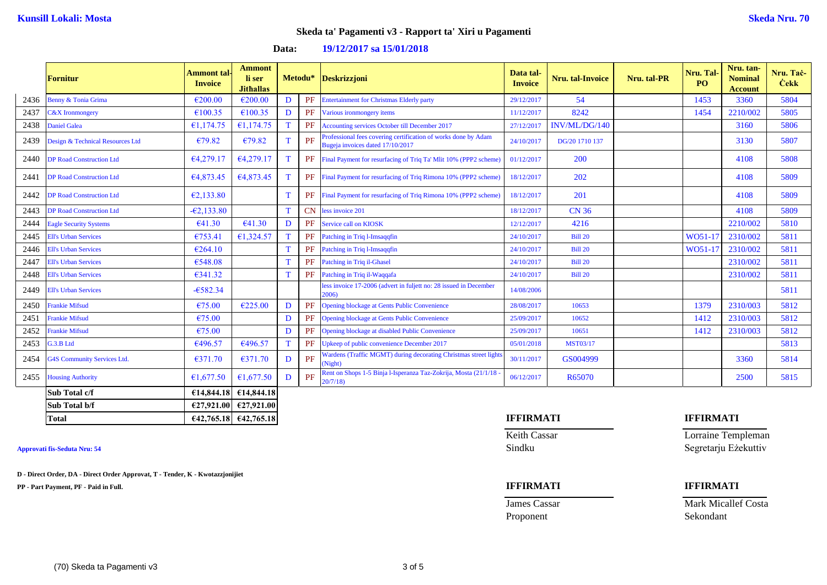### **Data: 19/12/2017 sa 15/01/2018**

|      | <b>Fornitur</b>                    | <b>Ammont</b> tal-<br><b>Invoice</b> | <b>Ammont</b><br>li ser<br><b>Jithallas</b> |              | Metodu*   | Deskrizzjoni                                                                                       | Data tal-<br><b>Invoice</b> | Nru. tal-Invoice | Nru. tal-PR | Nru. Tal<br>P <sub>O</sub> | Nru. tan-<br><b>Nominal</b><br><b>Account</b> | Nru. Tač-<br><b>Cekk</b> |
|------|------------------------------------|--------------------------------------|---------------------------------------------|--------------|-----------|----------------------------------------------------------------------------------------------------|-----------------------------|------------------|-------------|----------------------------|-----------------------------------------------|--------------------------|
| 2436 | Benny & Tonia Grima                | $\epsilon$ 200.00                    | €200.00                                     | D            | PF        | <b>Entertainment for Christmas Elderly party</b>                                                   | 29/12/2017                  | 54               |             | 1453                       | 3360                                          | 5804                     |
| 2437 | <b>C&amp;X</b> Ironmongery         | €100.35                              | €100.35                                     | D            | PF        | Various ironmongery items                                                                          | 11/12/2017                  | 8242             |             | 1454                       | 2210/002                                      | 5805                     |
| 2438 | <b>Daniel Galea</b>                | €1,174.75                            | €1,174.75                                   | T            | PF        | Accounting services October till December 2017                                                     | 27/12/2011                  | INV/ML/DG/140    |             |                            | 3160                                          | 5806                     |
| 2439 | Design & Technical Resources Ltd   | €79.82                               | €79.82                                      |              | PF        | Professional fees covering certification of works done by Adam<br>Bugeja invoices dated 17/10/2017 | 24/10/2017                  | DG/20 1710 137   |             |                            | 3130                                          | 5807                     |
| 2440 | <b>DP Road Construction Ltd</b>    | 64,279.17                            | 64,279.17                                   |              |           | PF Final Payment for resurfacing of Triq Ta' Mlit 10% (PPP2 scheme)                                | 01/12/2017                  | 200              |             |                            | 4108                                          | 5808                     |
| 2441 | <b>DP Road Construction Ltd</b>    | €4,873.45                            | 64,873.45                                   | $\mathbf{T}$ |           | <b>PF</b> Final Payment for resurfacing of Triq Rimona 10% (PPP2 scheme)                           | 18/12/2017                  | 202              |             |                            | 4108                                          | 5809                     |
| 2442 | <b>DP Road Construction Ltd</b>    | E2,133.80                            |                                             |              | PF        | Final Payment for resurfacing of Triq Rimona 10% (PPP2 scheme)                                     | 18/12/2017                  | 201              |             |                            | 4108                                          | 5809                     |
| 2443 | <b>DP Road Construction Ltd</b>    | $-62, 133, 80$                       |                                             | T            | <b>CN</b> | less invoice 201                                                                                   | 18/12/2017                  | <b>CN 36</b>     |             |                            | 4108                                          | 5809                     |
| 2444 | <b>Eagle Security Systems</b>      | 641.30                               | €41.30                                      | D            | PF        | Service call on KIOSK                                                                              | 12/12/2017                  | 4216             |             |                            | 2210/002                                      | 5810                     |
| 2445 | <b>Ell's Urban Services</b>        | €753.41                              | 61,324.57                                   | T            | PF        | Patching in Triq l-Imsaqqfin                                                                       | 24/10/2017                  | <b>Bill 20</b>   |             | WO51-17                    | 2310/002                                      | 5811                     |
| 2446 | <b>Ell's Urban Services</b>        | $\epsilon$ 264.10                    |                                             |              | PF        | Patching in Triq l-Imsaqqfin                                                                       | 24/10/2017                  | <b>Bill 20</b>   |             | WO51-17                    | 2310/002                                      | 5811                     |
| 2447 | <b>Ell's Urban Services</b>        | €548.08                              |                                             | T            | PF        | <b>Patching in Triq il-Ghasel</b>                                                                  | 24/10/2017                  | <b>Bill 20</b>   |             |                            | 2310/002                                      | 5811                     |
| 2448 | <b>Ell's Urban Services</b>        | €341.32                              |                                             | T            | PF        | Patching in Triq il-Waqqafa                                                                        | 24/10/2017                  | <b>Bill 20</b>   |             |                            | 2310/002                                      | 5811                     |
| 2449 | <b>Ell's Urban Services</b>        | $-6582.34$                           |                                             |              |           | less invoice 17-2006 (advert in fuljett no: 28 issued in December<br>2006)                         | 14/08/2006                  |                  |             |                            |                                               | 5811                     |
| 2450 | <b>Frankie Mifsud</b>              | €75.00                               | $\epsilon$ 225.00                           | D            | PF        | <b>Opening blockage at Gents Public Convenience</b>                                                | 28/08/2017                  | 10653            |             | 1379                       | 2310/003                                      | 5812                     |
| 2451 | <b>Frankie Mifsud</b>              | €75.00                               |                                             | D            | PF        | <b>Opening blockage at Gents Public Convenience</b>                                                | 25/09/2017                  | 10652            |             | 1412                       | 2310/003                                      | 5812                     |
| 2452 | <b>Frankie Mifsud</b>              | €75.00                               |                                             | D            | PF        | Opening blockage at disabled Public Convenience                                                    | 25/09/2017                  | 10651            |             | 1412                       | 2310/003                                      | 5812                     |
| 2453 | G.3.B Ltd                          | €496.57                              | €496.57                                     | T            | PF        | Upkeep of public convenience December 2017                                                         | 05/01/2018                  | <b>MST03/17</b>  |             |                            |                                               | 5813                     |
| 2454 | <b>G4S Community Services Ltd.</b> | €371.70                              | €371.70                                     | D            | PF        | Wardens (Traffic MGMT) during decorating Christmas street lights<br>Night)                         | 30/11/2017                  | GS004999         |             |                            | 3360                                          | 5814                     |
| 2455 | <b>Housing Authority</b>           | 61,677.50                            | €1,677.50                                   | D            | PF        | Rent on Shops 1-5 Binja l-Isperanza Taz-Zokrija, Mosta (21/1/18<br>20/7/18                         | 06/12/2017                  | R65070           |             |                            | 2500                                          | 5815                     |
|      | Sub Total c/f                      |                                      | €14,844.18 $\in$ 14,844.18                  |              |           |                                                                                                    |                             |                  |             |                            |                                               |                          |
|      | Sub Total b/f                      |                                      | $\in$ 27,921.00 $\in$ 27,921.00             |              |           |                                                                                                    |                             |                  |             |                            |                                               |                          |

**D - Direct Order, DA - Direct Order Approvat, T - Tender, K - Kwotazzjonijiet**

**PP - Part Payment, PF - Paid in Full. IFFIRMATI IFFIRMATI**

Proponent Sekondant

# **Total €42,765.18 €42,765.18 IFFIRMATI IFFIRMATI**

**Keith Cassar Lorraine Templeman Approvati fis-Seduta Nru: 54** Sindku Segretarju Eżekuttiv

**James Cassar Mark Micallef Costa**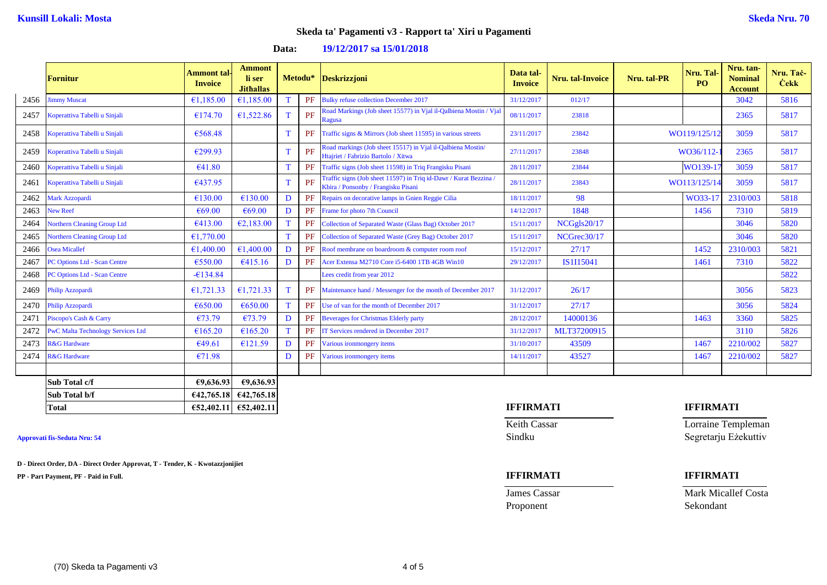### **Data: 19/12/2017 sa 15/01/2018**

|      | <b>Fornitur</b>                          | <b>Ammont tal-</b><br><b>Invoice</b> | <b>Ammont</b><br>li ser<br><b>Jithallas</b> |   | Metodu* | <b>Deskrizzjoni</b>                                                                                    | Data tal-<br><b>Invoice</b> | <b>Nru.</b> tal-Invoice | Nru. tal-PR | Nru. Tal-<br>P <sub>O</sub> | Nru. tan-<br><b>Nominal</b><br><b>Account</b> | Nru. Tač-<br><b>Cekk</b> |
|------|------------------------------------------|--------------------------------------|---------------------------------------------|---|---------|--------------------------------------------------------------------------------------------------------|-----------------------------|-------------------------|-------------|-----------------------------|-----------------------------------------------|--------------------------|
| 2456 | <b>Jimmy Muscat</b>                      | €1,185.00                            | €1,185.00                                   | T | PF      | <b>Bulky refuse collection December 2017</b>                                                           | 31/12/2017                  | 012/17                  |             |                             | 3042                                          | 5816                     |
| 2457 | Koperattiva Tabelli u Sinjali            | €174.70                              | €1,522.86                                   | T | PF      | Road Markings (Job sheet 15577) in Vjal il-Qalbiena Mostin / Vjal<br>Ragusa                            | 08/11/2017                  | 23818                   |             |                             | 2365                                          | 5817                     |
| 2458 | Koperattiva Tabelli u Sinjali            | €568.48                              |                                             | T | PF      | Traffic signs & Mirrors (Job sheet 11595) in various streets                                           | 23/11/2017                  | 23842                   |             | WO119/125/12                | 3059                                          | 5817                     |
| 2459 | Koperattiva Tabelli u Sinjali            | €299.93                              |                                             | T | PF      | Road markings (Job sheet 15517) in Vjal il-Qalbiena Mostin/<br>Htajriet / Fabrizio Bartolo / Xitwa     | 27/11/2017                  | 23848                   |             | WO36/112-                   | 2365                                          | 5817                     |
| 2460 | Koperattiva Tabelli u Sinjali            | €41.80                               |                                             | T | PF      | Traffic signs (Job sheet 11598) in Triq Frangisku Pisani                                               | 28/11/2017                  | 23844                   |             | WO139-1                     | 3059                                          | 5817                     |
| 2461 | Koperattiva Tabelli u Sinjali            | 6437.95                              |                                             | T | PF      | Traffic signs (Job sheet 11597) in Triq id-Dawr / Kurat Bezzina<br>Kbira / Ponsonby / Frangisku Pisani | 28/11/2017                  | 23843                   |             | WO113/125/14                | 3059                                          | 5817                     |
| 2462 | Mark Azzopardi                           | €130.00                              | €130.00                                     | D | PF      | Repairs on decorative lamps in Gnien Reggie Cilia                                                      | 18/11/2017                  | 98                      |             | WO33-17                     | 2310/003                                      | 5818                     |
| 2463 | <b>New Reef</b>                          | €69.00                               | €69.00                                      | D | PF      | Frame for photo 7th Council                                                                            | 14/12/2017                  | 1848                    |             | 1456                        | 7310                                          | 5819                     |
| 2464 | <b>Northern Cleaning Group Ltd</b>       | €413.00                              | E2,183.00                                   | T | PF      | Collection of Separated Waste (Glass Bag) October 2017                                                 | 15/11/2017                  | NCGgls20/17             |             |                             | 3046                                          | 5820                     |
| 2465 | <b>Northern Cleaning Group Ltd</b>       | €1,770.00                            |                                             | T | PF      | Collection of Separated Waste (Grey Bag) October 2017                                                  | 15/11/2017                  | NCGrec30/17             |             |                             | 3046                                          | 5820                     |
| 2466 | <b>Osea Micallef</b>                     | E1,400.00                            | €1,400.00                                   | D | PF      | Roof membrane on boardroom & computer room roof                                                        | 15/12/2017                  | 27/17                   |             | 1452                        | 2310/003                                      | 5821                     |
| 2467 | PC Options Ltd - Scan Centre             | €550.00                              | 6415.16                                     | D | PF      | Acer Extensa M2710 Core i5-6400 1TB 4GB Win10                                                          | 29/12/2017                  | IS1I15041               |             | 1461                        | 7310                                          | 5822                     |
| 2468 | PC Options Ltd - Scan Centre             | $-6134.84$                           |                                             |   |         | Lees credit from year 2012                                                                             |                             |                         |             |                             |                                               | 5822                     |
| 2469 | Philip Azzopardi                         | 61,721.33                            | 61,721.33                                   | T |         | Maintenance hand / Messenger for the month of December 2017                                            | 31/12/2017                  | 26/17                   |             |                             | 3056                                          | 5823                     |
| 2470 | Philip Azzopardi                         | €650.00                              | €650.00                                     | T | PF      | Use of van for the month of December 2017                                                              | 31/12/2017                  | 27/17                   |             |                             | 3056                                          | 5824                     |
| 2471 | Piscopo's Cash & Carry                   | €73.79                               | €73.79                                      | D | PF      | <b>Beverages for Christmas Elderly party</b>                                                           | 28/12/2017                  | 14000136                |             | 1463                        | 3360                                          | 5825                     |
| 2472 | <b>PwC Malta Technology Services Ltd</b> | €165.20                              | €165.20                                     | T | PF      | IT Services rendered in December 2017                                                                  | 31/12/2017                  | MLT37200915             |             |                             | 3110                                          | 5826                     |
| 2473 | <b>R&amp;G</b> Hardware                  | €49.61                               | £121.59                                     | D | PF      | Various ironmongery items                                                                              | 31/10/2017                  | 43509                   |             | 1467                        | 2210/002                                      | 5827                     |
| 2474 | <b>R&amp;G</b> Hardware                  | €71.98                               |                                             | D | PF      | Various ironmongery items                                                                              | 14/11/2017                  | 43527                   |             | 1467                        | 2210/002                                      | 5827                     |
|      |                                          |                                      |                                             |   |         |                                                                                                        |                             |                         |             |                             |                                               |                          |
|      | Sub Total c/f                            | €9,636.93                            | €9,636.93                                   |   |         |                                                                                                        |                             |                         |             |                             |                                               |                          |
|      | Sub Total b/f                            | €42,765.18                           | €42,765.18                                  |   |         |                                                                                                        |                             |                         |             |                             |                                               |                          |
|      | <b>Total</b>                             | €52,402.11                           | €52,402.11                                  |   |         |                                                                                                        | <b>IFFIRMATI</b>            |                         |             | <b>IFFIRMATI</b>            |                                               |                          |

**D - Direct Order, DA - Direct Order Approvat, T - Tender, K - Kwotazzjonijiet**

**PP - Part Payment, PF - Paid in Full. IFFIRMATI IFFIRMATI**

Proponent Sekondant

**Keith Cassar** Lorraine Templeman Approvati fis-Seduta Nru: 54 Segretarju Eżekuttiv

**James Cassar Mark Micallef Costa**